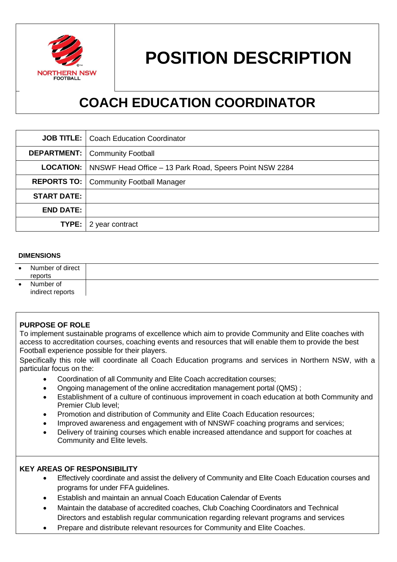

# **POSITION DESCRIPTION**

# **COACH EDUCATION COORDINATOR**

|                    | <b>JOB TITLE:</b>   Coach Education Coordinator                            |  |
|--------------------|----------------------------------------------------------------------------|--|
|                    | <b>DEPARTMENT:</b>   Community Football                                    |  |
|                    | <b>LOCATION:</b>   NNSWF Head Office – 13 Park Road, Speers Point NSW 2284 |  |
|                    | <b>REPORTS TO:   Community Football Manager</b>                            |  |
| <b>START DATE:</b> |                                                                            |  |
| <b>END DATE:</b>   |                                                                            |  |
| TYPE:              | 2 year contract                                                            |  |

#### **DIMENSIONS**

| $\bullet$ | Number of direct<br>reports   |  |
|-----------|-------------------------------|--|
|           | Number of<br>indirect reports |  |

#### **PURPOSE OF ROLE**

To implement sustainable programs of excellence which aim to provide Community and Elite coaches with access to accreditation courses, coaching events and resources that will enable them to provide the best Football experience possible for their players.

Specifically this role will coordinate all Coach Education programs and services in Northern NSW, with a particular focus on the:

- Coordination of all Community and Elite Coach accreditation courses;
- Ongoing management of the online accreditation management portal (QMS) ;
- Establishment of a culture of continuous improvement in coach education at both Community and Premier Club level;
- Promotion and distribution of Community and Elite Coach Education resources;
- Improved awareness and engagement with of NNSWF coaching programs and services;
- Delivery of training courses which enable increased attendance and support for coaches at Community and Elite levels.

#### **KEY AREAS OF RESPONSIBILITY**

- Effectively coordinate and assist the delivery of Community and Elite Coach Education courses and programs for under FFA guidelines.
- Establish and maintain an annual Coach Education Calendar of Events
- Maintain the database of accredited coaches, Club Coaching Coordinators and Technical Directors and establish regular communication regarding relevant programs and services
- Prepare and distribute relevant resources for Community and Elite Coaches.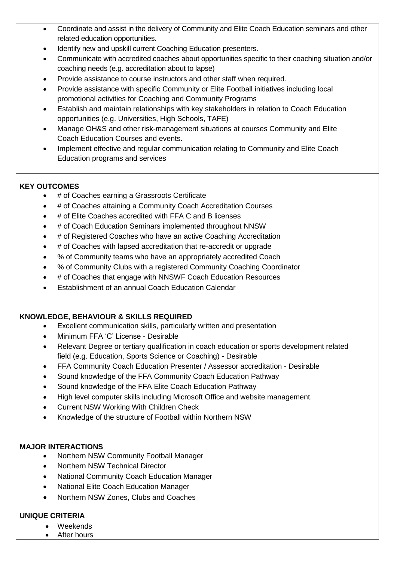- Coordinate and assist in the delivery of Community and Elite Coach Education seminars and other related education opportunities.
- Identify new and upskill current Coaching Education presenters.
- Communicate with accredited coaches about opportunities specific to their coaching situation and/or coaching needs (e.g. accreditation about to lapse)
- Provide assistance to course instructors and other staff when required.
- Provide assistance with specific Community or Elite Football initiatives including local promotional activities for Coaching and Community Programs
- Establish and maintain relationships with key stakeholders in relation to Coach Education opportunities (e.g. Universities, High Schools, TAFE)
- Manage OH&S and other risk-management situations at courses Community and Elite Coach Education Courses and events.
- Implement effective and regular communication relating to Community and Elite Coach Education programs and services

# **KEY OUTCOMES**

- # of Coaches earning a Grassroots Certificate
- # of Coaches attaining a Community Coach Accreditation Courses
- # of Elite Coaches accredited with FFA C and B licenses
- # of Coach Education Seminars implemented throughout NNSW
- # of Registered Coaches who have an active Coaching Accreditation
- # of Coaches with lapsed accreditation that re-accredit or upgrade
- % of Community teams who have an appropriately accredited Coach
- % of Community Clubs with a registered Community Coaching Coordinator
- # of Coaches that engage with NNSWF Coach Education Resources
- Establishment of an annual Coach Education Calendar

## **KNOWLEDGE, BEHAVIOUR & SKILLS REQUIRED**

- Excellent communication skills, particularly written and presentation
- Minimum FFA 'C' License Desirable
- Relevant Degree or tertiary qualification in coach education or sports development related field (e.g. Education, Sports Science or Coaching) - Desirable
- FFA Community Coach Education Presenter / Assessor accreditation Desirable
- Sound knowledge of the FFA Community Coach Education Pathway
- Sound knowledge of the FFA Elite Coach Education Pathway
- High level computer skills including Microsoft Office and website management.
- Current NSW Working With Children Check
- Knowledge of the structure of Football within Northern NSW

## **MAJOR INTERACTIONS**

- Northern NSW Community Football Manager
- Northern NSW Technical Director
- National Community Coach Education Manager
- National Elite Coach Education Manager
- Northern NSW Zones, Clubs and Coaches

# **UNIQUE CRITERIA**

- Weekends
- After hours